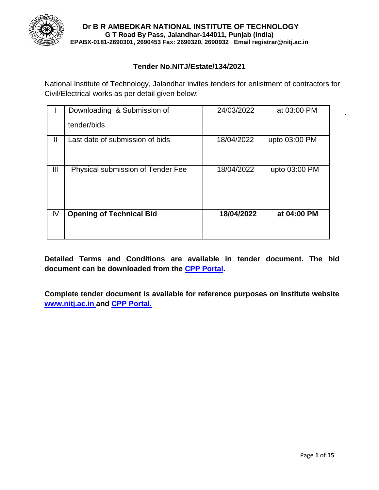

#### **Tender No.NITJ/Estate/134/2021**

National Institute of Technology, Jalandhar invites tenders for enlistment of contractors for Civil/Electrical works as per detail given below:

|                | Downloading & Submission of<br>tender/bids | 24/03/2022 | at 03:00 PM   |
|----------------|--------------------------------------------|------------|---------------|
| Ш              | Last date of submission of bids            | 18/04/2022 | upto 03:00 PM |
| $\mathbf{III}$ | Physical submission of Tender Fee          | 18/04/2022 | upto 03:00 PM |
| IV             | <b>Opening of Technical Bid</b>            | 18/04/2022 | at 04:00 PM   |

**Detailed Terms and Conditions are available in tender document. The bid document can be downloaded from the CPP Portal.**

**Complete tender document is available for reference purposes on Institute website [www.nitj.ac.in a](http://www.nitj.ac.in/)nd CPP Portal.**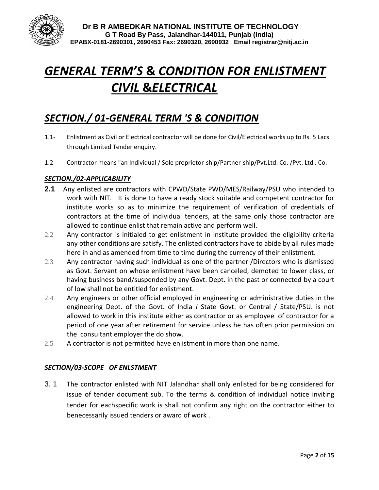

# *GENERAL TERM'S* **&** *CONDITION FOR ENLISTMENT CIVIL* **&***ELECTRICAL*

# *SECTION./ 01-GENERAL TERM 'S & CONDITION*

- 1.1- Enlistment as Civil or Electrical contractor will be done for Civil/Electrical works up to Rs. 5 Lacs through Limited Tender enquiry.
- 1.2- Contractor means "an Individual / Sole proprietor-ship/Partner-ship/Pvt.Ltd. Co. /Pvt. Ltd . Co.

#### *SECTION./02-APPLICABILITY*

- **2.1** Any enlisted are contractors with CPWD/State PWD/MES/Railway/PSU who intended to work with NIT. It is done to have a ready stock suitable and competent contractor for institute works so as to minimize the requirement of verification of credentials of contractors at the time of individual tenders, at the same only those contractor are allowed to continue enlist that remain active and perform well.
- 2.2 Any contractor is initialed to get enlistment in Institute provided the eligibility criteria any other conditions are satisfy. The enlisted contractors have to abide by all rules made here in and as amended from time to time during the currency of their enlistment.
- 2.3 Any contractor having such individual as one of the partner /Directors who is dismissed as Govt. Servant on whose enlistment have been canceled, demoted to lower class, or having business band/suspended by any Govt. Dept. in the past or connected by a court of low shall not be entitled for enlistment.
- 2.4 Any engineers or other official employed in engineering or administrative duties in the engineering Dept. of the Govt. of India *I* State Govt. or Central / State/PSU. is not allowed to work in this institute either as contractor or as employee of contractor for a period of one year after retirement for service unless he has often prior permission on the consultant employer the do show.
- 2.5 A contractor is not permitted have enlistment in more than one name.

#### *SECTION/03-SCOPE OF ENLSTMENT*

3. 1 The contractor enlisted with NIT Jalandhar shall only enlisted for being considered for issue of tender document sub. To the terms & condition of individual notice inviting tender for eachspecific work is shall not confirm any right on the contractor either to benecessarily issued tenders or award of work .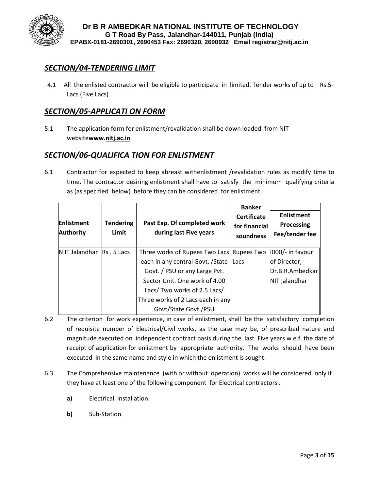

### *SECTION/04-TENDERING LIMIT*

4.1 All the enlisted contractor will be eligible to participate in limited. Tender works of up to Rs.5- Lacs (Five Lacs)

### *SECTION/05-APPLICATI ON FORM*

5.1 The application form for enlistment/revalidation shall be down loaded from NIT website**www.nitj.ac.in**

#### *SECTION/06-QUALIFICA TION FOR ENLISTMENT*

6.1 Contractor for expected to keep abreast withenlistment /revalidation rules as modify time to time. The contractor desiring enlistment shall have to satisfy the minimum qualifying criteria as (as specified below) before they can be considered for enlistment.

| <b>Enlistment</b><br><b>Authority</b> | <b>Tendering</b><br>Limit | Past Exp. Of completed work<br>during last Five years | <b>Banker</b><br><b>Certificate</b><br>for financial<br>soundness | <b>Enlistment</b><br>Processing<br>Fee/tender fee |
|---------------------------------------|---------------------------|-------------------------------------------------------|-------------------------------------------------------------------|---------------------------------------------------|
| N IT Jalandhar                        | Rs. 5 Lacs                | Three works of Rupees Two Lacs Rupees Two             |                                                                   | 1000/- in favour                                  |
|                                       |                           | each in any central Govt. / State                     | Lacs                                                              | of Director,                                      |
|                                       |                           | Govt. / PSU or any Large Pvt.                         |                                                                   | Dr.B.R.Ambedkar                                   |
|                                       |                           | Sector Unit. One work of 4.00                         |                                                                   | NIT jalandhar                                     |
|                                       |                           | Lacs/ Two works of 2.5 Lacs/                          |                                                                   |                                                   |
|                                       |                           | Three works of 2 Lacs each in any                     |                                                                   |                                                   |
|                                       |                           | Govt/State Govt./PSU                                  |                                                                   |                                                   |

- 6.2 The criterion for work experience, in case of enlistment, shall be the satisfactory completion of requisite number of Electrical/Civil works, as the case may be, of prescribed nature and magnitude executed on independent contract basis during the last Five years w.e.f. the date of receipt of application for enlistment by appropriate authority. The works should have been executed in the same name and style in which the enlistment is sought.
- 6.3 The Comprehensive maintenance (with or without operation) works will be considered only if they have at least one of the following component for Electrical contractors .
	- **a)** Electrical installation.
	- **b)** Sub-Station.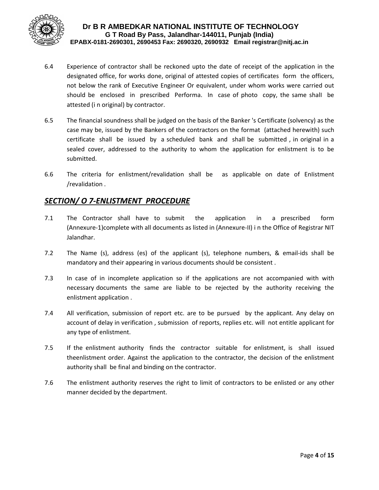

- 6.4 Experience of contractor shall be reckoned upto the date of receipt of the application in the designated office, for works done, original of attested copies of certificates form the officers, not below the rank of Executive Engineer Or equivalent, under whom works were carried out should be enclosed in prescribed Performa. In case of photo copy, the same shalI be attested (i n original) by contractor.
- 6.5 The financial soundness shall be judged on the basis of the Banker 's Certificate (solvency) as the case may be, issued by the Bankers of the contractors on the format (attached herewith) such certificate shall be issued by a scheduled bank and shall be submitted , in original in a sealed cover, addressed to the authority to whom the application for enlistment is to be submitted.
- 6.6 The criteria for enlistment/revalidation shall be as applicable on date of EnIistment /revalidation .

### *SECTION/ O 7-ENLISTMENT PROCEDURE*

- 7.1 The Contractor shall have to submit the application in a prescribed form (Annexure-1)complete with all documents as listed in (Annexure-II) i n the Office of Registrar NIT Jalandhar.
- 7.2 The Name (s), address (es) of the applicant (s), telephone numbers, & email-ids shall be mandatory and their appearing in various documents should be consistent .
- 7.3 In case of in incomplete application so if the applications are not accompanied with with necessary documents the same are liable to be rejected by the authority receiving the enlistment application .
- 7.4 All verification, submission of report etc. are to be pursued by the applicant. Any delay on account of delay in verification , submission of reports, replies etc. will not entitle applicant for any type of enlistment.
- 7.5 If the enlistment authority finds the contractor suitable for enlistment, is shall issued theenlistment order. Against the application to the contractor, the decision of the enlistment authority shall be final and binding on the contractor.
- 7.6 The enlistment authority reserves the right to limit of contractors to be enlisted or any other manner decided by the department.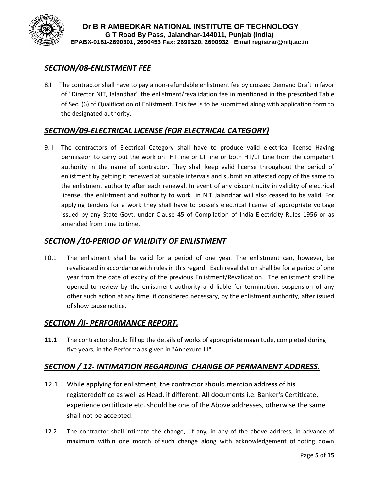

# *SECTION/08-ENLISTMENT FEE*

8.I The contractor shall have to pay a non-refundable enlistment fee by crossed Demand Draft in favor of "Director NIT, Jalandhar" the enlistment/revalidation fee in mentioned in the prescribed Table of Sec. (6) of Qualification of Enlistment. This fee is to be submitted along with application form to the designated authority.

# *SECTION/09-ELECTRICAL LICENSE (FOR ELECTRICAL CATEGORY)*

9. I The contractors of Electrical Category shall have to produce valid electrical license Having permission to carry out the work on HT line or LT line or both HT/LT Line from the competent authority in the name of contractor. They shall keep valid license throughout the period of enlistment by getting it renewed at suitable intervals and submit an attested copy of the same to the enlistment authority after each renewal. In event of any discontinuity in validity of electrical license, the enlistment and authority to work in NIT Jalandhar will also ceased to be valid. For applying tenders for a work they shall have to posse's electrical license of appropriate voltage issued by any State Govt. under Clause 45 of Compilation of India Electricity Rules 1956 or as amended from time to time.

#### *SECTION /10-PERIOD OF VALIDITY OF ENLISTMENT*

I 0.1 The enlistment shall be valid for a period of one year. The enlistment can, however, be revalidated in accordance with rules in this regard. Each revalidation shall be for a period of one year from the date of expiry of the previous Enlistment/Revalidation. The enlistment shall be opened to review by the enlistment authority and liable for termination, suspension of any other such action at any time, if considered necessary, by the enlistment authority, after issued of show cause notice.

### *SECTION /ll- PERFORMANCE REPORT.*

**11.1** The contractor should fill up the details of works of appropriate magnitude, completed during five years, in the Performa as given in "Annexure-III"

### *SECTION / 12- INTIMATION REGARDING CHANGE OF PERMANENT ADDRESS.*

- 12.1 While applying for enlistment, the contractor should mention address of his registeredoffice as well as Head, if different. All documents i.e. Banker's Certitlcate, experience certitlcate etc. should be one of the Above addresses, otherwise the same shall not be accepted.
- 12.2 The contractor shall intimate the change, if any, in any of the above address, in advance of maximum within one month of such change along with acknowledgement of noting down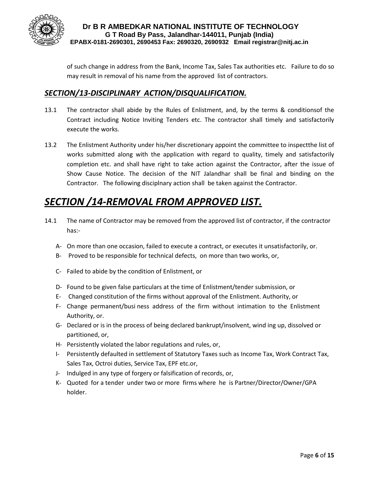

of such change in address from the Bank, Income Tax, Sales Tax authorities etc. Failure to do so may result in removal of his name from the approved list of contractors.

#### *SECTION/13-DISCIPLINARY ACTION/DISQUALIFICATION.*

- 13.1 The contractor shall abide by the Rules of Enlistment, and, by the terms & conditionsof the Contract including Notice Inviting Tenders etc. The contractor shall timely and satisfactorily execute the works.
- 13.2 The Enlistment Authority under his/her discretionary appoint the committee to inspectthe list of works submitted along with the application with regard to quality, timely and satisfactorily completion etc. and shall have right to take action against the Contractor, after the issue of Show Cause Notice. The decision of the NIT Jalandhar shall be final and binding on the Contractor. The following disciplnary action shall be taken against the Contractor.

# *SECTION /14-REMOVAL FROM APPROVED LIST.*

- 14.1 The name of Contractor may be removed from the approved list of contractor, if the contractor has:-
	- A- On more than one occasion, failed to execute a contract, or executes it unsatisfactorily, or.
	- B- Proved to be responsible for technical defects, on more than two works, or,
	- C- Failed to abide by the condition of Enlistment, or
	- D- Found to be given false particulars at the time of Enlistment/tender submission, or
	- E- Changed constitution of the firms without approval of the Enlistment. Authority, or
	- F- Change permanent/busi ness address of the firm without intimation to the Enlistment Authority, or.
	- G- Declared or is in the process of being declared bankrupt/insolvent, wind ing up, dissolved or partitioned, or,
	- H- Persistently violated the labor regulations and rules, or,
	- I- Persistently defaulted in settlement of Statutory Taxes such as Income Tax, Work Contract Tax, Sales Tax, Octroi duties, Service Tax, EPF etc.or,
	- J- Indulged in any type of forgery or falsification of records, or,
	- K- Quoted for a tender under two or more firms where he is Partner/Director/Owner/GPA holder.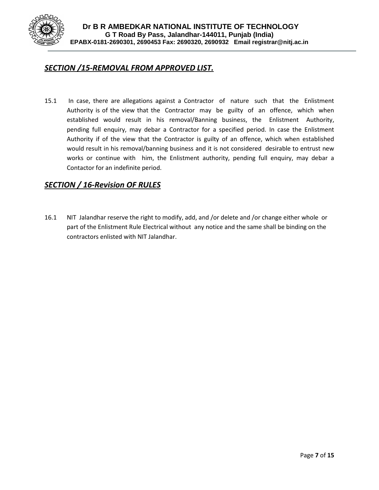

#### *SECTION /15-REMOVAL FROM APPROVED LIST.*

15.1 In case, there are allegations against a Contractor of nature such that the Enlistment Authority is of the view that the Contractor may be guilty of an offence, which when established would result in his removal/Banning business, the Enlistment Authority, pending full enquiry, may debar a Contractor for a specified period. In case the Enlistment Authority if of the view that the Contractor is guilty of an offence, which when established would result in his removal/banning business and it is not considered desirable to entrust new works or continue with him, the Enlistment authority, pending full enquiry, may debar a Contactor for an indefinite period.

#### *SECTION / 16-Revision OF RULES*

16.1 NIT Jalandhar reserve the right to modify, add, and /or delete and /or change either whole or part of the Enlistment Rule Electrical without any notice and the same shall be binding on the contractors enlisted with NIT Jalandhar.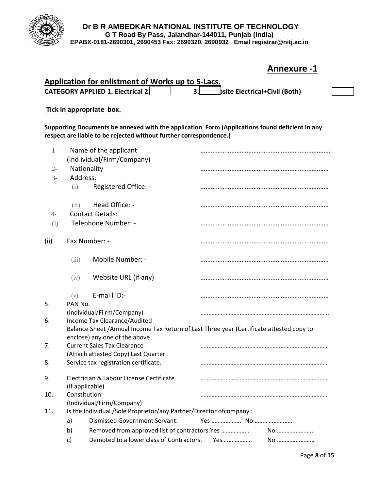

# **Annexure -1**

| Application for enlistment of Works up to 5-Lacs. |  |                                      |  |  |  |  |  |
|---------------------------------------------------|--|--------------------------------------|--|--|--|--|--|
| <b>CATEGORY APPLIED 1. Electrical 2.</b>          |  | <b>bsite Electrical+Civil (Both)</b> |  |  |  |  |  |

#### **Tick in appropriate box.**

**Supporting Documents be annexed with the application Form (Applications found deficient in any respect are liable to be rejected without further correspondence.)**

| $1-$  |                 | Name of the applicant                                                                                                                                     |            |    |  |
|-------|-----------------|-----------------------------------------------------------------------------------------------------------------------------------------------------------|------------|----|--|
|       |                 | (Ind ividual/Firm/Company)                                                                                                                                |            |    |  |
| $2 -$ | Nationality     |                                                                                                                                                           |            |    |  |
| $3-$  | Address:        |                                                                                                                                                           |            |    |  |
|       | (i)             | Registered Office: -                                                                                                                                      |            |    |  |
|       | (ii)            | Head Office: -                                                                                                                                            |            |    |  |
| $4-$  |                 | <b>Contact Details:</b>                                                                                                                                   |            |    |  |
| (i)   |                 | Telephone Number: -                                                                                                                                       |            |    |  |
| (ii)  |                 | Fax Number: -                                                                                                                                             |            |    |  |
|       | (iii)           | Mobile Number: -                                                                                                                                          |            |    |  |
|       | (iv)            | Website URL (if any)                                                                                                                                      |            |    |  |
|       | (v)             | E-mai I ID:-                                                                                                                                              |            |    |  |
| 5.    | PAN No.         |                                                                                                                                                           |            |    |  |
|       |                 | (Individual/Fi rm/Company)                                                                                                                                |            |    |  |
| 6.    |                 | Income Tax Clearance/Audited<br>Balance Sheet /Annual Income Tax Return of Last Three year (Certificate attested copy to<br>enclose) any one of the above |            |    |  |
| 7.    |                 | <b>Current Sales Tax Clearance</b>                                                                                                                        |            |    |  |
|       |                 | (Attach attested Copy) Last Quarter                                                                                                                       |            |    |  |
| 8.    |                 | Service tax registration certificate.                                                                                                                     |            |    |  |
| 9.    | (if applicable) | Electrician & Labour License Certificate                                                                                                                  |            |    |  |
| 10.   | Constitution.   |                                                                                                                                                           |            |    |  |
|       |                 | (Individual/Firm/Company)                                                                                                                                 |            |    |  |
| 11.   |                 | Is the Individual /Sole Proprietor/any Partner/Director of company :                                                                                      |            |    |  |
|       | a)              | <b>Dismissed Government Servant:</b>                                                                                                                      |            |    |  |
|       | b)              | Removed from approved list of contractors: Yes                                                                                                            |            | No |  |
|       | c)              | Demoted to a lower class of Contractors.                                                                                                                  | Yes ……………… | No |  |
|       |                 |                                                                                                                                                           |            |    |  |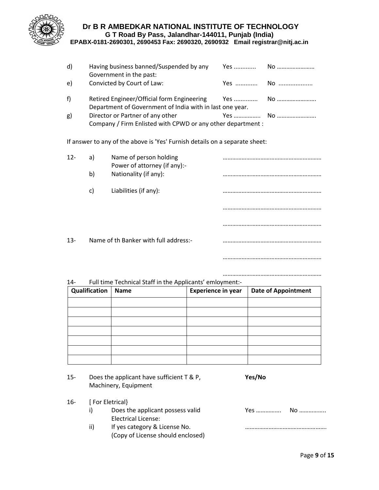

| d) | Having business banned/Suspended by any<br>Government in the past:                              |  |
|----|-------------------------------------------------------------------------------------------------|--|
| e) | Convicted by Court of Law:                                                                      |  |
| f) | Department of Government of India with in last one year.                                        |  |
| g) | Director or Partner of any other<br>Company / Firm Enlisted with CPWD or any other department : |  |

If answer to any of the above is 'Yes' Furnish details on a separate sheet:

| $12 -$ | a) | Name of person holding<br>Power of attorney (if any):- |  |
|--------|----|--------------------------------------------------------|--|
|        | b) | Nationality (if any):                                  |  |
|        | C) | Liabilities (if any):                                  |  |
|        |    |                                                        |  |
|        |    |                                                        |  |
| $13 -$ |    | Name of th Banker with full address:-                  |  |
|        |    |                                                        |  |

#### 14- Full time Technical Staff in the Applicants' emloyment:-

| Qualification | <b>Name</b> | <b>Experience in year</b> | <b>Date of Appointment</b> |
|---------------|-------------|---------------------------|----------------------------|
|               |             |                           |                            |
|               |             |                           |                            |
|               |             |                           |                            |
|               |             |                           |                            |
|               |             |                           |                            |
|               |             |                           |                            |
|               |             |                           |                            |

| 15- | Does the applicant have sufficient T & P, | Yes/No |
|-----|-------------------------------------------|--------|
|     | Machinery, Equipment                      |        |

| 16- |     | [ For Eletrical}                  |  |
|-----|-----|-----------------------------------|--|
|     |     | Does the applicant possess valid  |  |
|     |     | Electrical License:               |  |
|     | ii) | If yes category & License No.     |  |
|     |     | (Copy of License should enclosed) |  |

………………………………………………………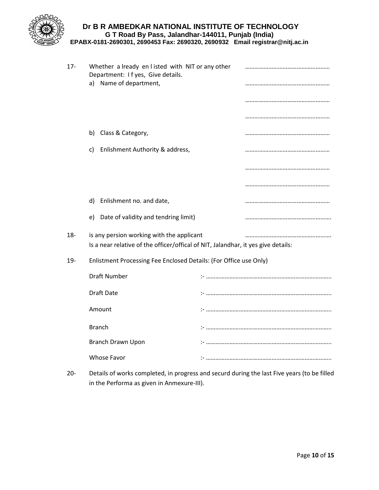

| $17 -$ | Whether a Iready en I isted with NIT or any other<br>Department: I f yes, Give details.                                        |  |
|--------|--------------------------------------------------------------------------------------------------------------------------------|--|
|        | a) Name of department,                                                                                                         |  |
|        |                                                                                                                                |  |
|        |                                                                                                                                |  |
|        | b) Class & Category,                                                                                                           |  |
|        | Enlishment Authority & address,<br>c)                                                                                          |  |
|        |                                                                                                                                |  |
|        |                                                                                                                                |  |
|        | Enlishment no. and date,<br>d)                                                                                                 |  |
|        | e) Date of validity and tendring limit)                                                                                        |  |
| $18 -$ | is any persion working with the applicant<br>Is a near relative of the officer/offical of NIT, Jalandhar, it yes give details: |  |
| 19-    | Enlistment Processing Fee Enclosed Details: (For Office use Only)                                                              |  |
|        | <b>Draft Number</b>                                                                                                            |  |
|        | <b>Draft Date</b>                                                                                                              |  |
|        | Amount                                                                                                                         |  |
|        | <b>Branch</b>                                                                                                                  |  |
|        | <b>Branch Drawn Upon</b>                                                                                                       |  |
|        | <b>Whose Favor</b>                                                                                                             |  |

20- Details of works completed, in progress and securd during the last Five years (to be filled in the Performa as given in Anmexure-III).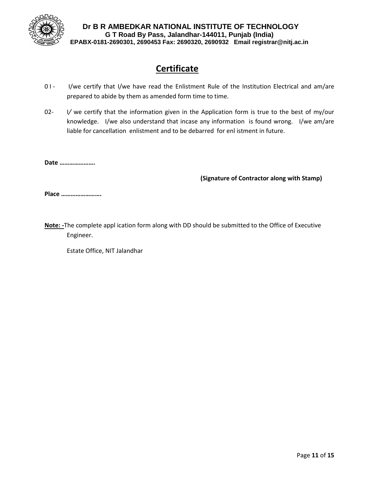

# **Certificate**

- 01 I/we certify that I/we have read the Enlistment Rule of the Institution Electrical and am/are prepared to abide by them as amended form time to time.
- 02- I/ we certify that the information given in the Application form is true to the best of my/our knowledge. I/we also understand that incase any information is found wrong. I/we am/are liable for cancellation enlistment and to be debarred for enl istment in future.

**Date ………………….**

**(Signature of Contractor along with Stamp)**

**Place …………………….**

**Note: -**The complete appl ication form along with DD should be submitted to the Office of Executive Engineer.

Estate Office, NIT Jalandhar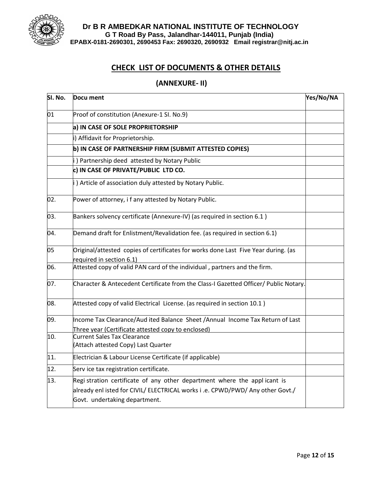

### **CHECK LIST OF DOCUMENTS & OTHER DETAILS**

#### **(ANNEXURE- II)**

| SI. No. | Docu ment                                                                                                                                                                                   | Yes/No/NA |
|---------|---------------------------------------------------------------------------------------------------------------------------------------------------------------------------------------------|-----------|
| 01      | Proof of constitution (Anexure-1 SI. No.9)                                                                                                                                                  |           |
|         | a) IN CASE OF SOLE PROPRIETORSHIP                                                                                                                                                           |           |
|         | i) Affidavit for Proprietorship.                                                                                                                                                            |           |
|         | b) IN CASE OF PARTNERSHIP FIRM (SUBMIT ATTESTED COPIES)                                                                                                                                     |           |
|         | i) Partnership deed attested by Notary Public                                                                                                                                               |           |
|         | c) IN CASE OF PRIVATE/PUBLIC LTD CO.                                                                                                                                                        |           |
|         | i) Article of association duly attested by Notary Public.                                                                                                                                   |           |
| 02.     | Power of attorney, i f any attested by Notary Public.                                                                                                                                       |           |
| 03.     | Bankers solvency certificate (Annexure-IV) (as required in section 6.1)                                                                                                                     |           |
| 04.     | Demand draft for Enlistment/Revalidation fee. (as required in section 6.1)                                                                                                                  |           |
| 05      | Original/attested copies of certificates for works done Last Five Year during. (as                                                                                                          |           |
|         | required in section 6.1)                                                                                                                                                                    |           |
| 06.     | Attested copy of valid PAN card of the individual, partners and the firm.                                                                                                                   |           |
| 07.     | Character & Antecedent Certificate from the Class-I Gazetted Officer/ Public Notary.                                                                                                        |           |
| 08.     | Attested copy of valid Electrical License. (as required in section 10.1)                                                                                                                    |           |
| 09.     | Income Tax Clearance/Aud ited Balance Sheet /Annual Income Tax Return of Last                                                                                                               |           |
|         | Three year (Certificate attested copy to enclosed)                                                                                                                                          |           |
| 10.     | <b>Current Sales Tax Clearance</b><br>(Attach attested Copy) Last Quarter                                                                                                                   |           |
| 11.     | Electrician & Labour License Certificate (if applicable)                                                                                                                                    |           |
| 12.     | Serv ice tax registration certificate.                                                                                                                                                      |           |
| 13.     | Regi stration certificate of any other department where the applicant is<br>already enl isted for CIVIL/ ELECTRICAL works i .e. CPWD/PWD/ Any other Govt./<br>Govt. undertaking department. |           |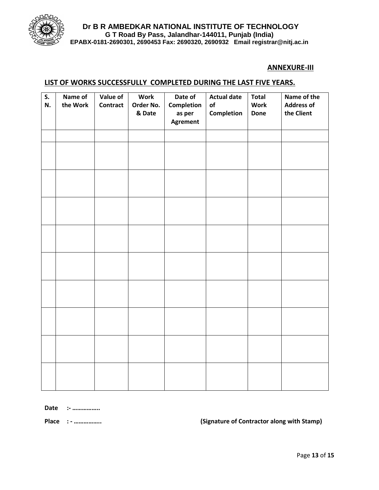

#### **ANNEXURE-III**

#### **LIST OF WORKS SUCCESSFULLY COMPLETED DURING THE LAST FIVE YEARS.**

| S.<br>N. | Name of<br>the Work | Value of<br><b>Contract</b> | <b>Work</b><br>Order No.<br>& Date | Date of<br><b>Completion</b><br>as per<br><b>Agrement</b> | <b>Actual date</b><br>of<br>Completion | <b>Total</b><br><b>Work</b><br><b>Done</b> | Name of the<br><b>Address of</b><br>the Client |
|----------|---------------------|-----------------------------|------------------------------------|-----------------------------------------------------------|----------------------------------------|--------------------------------------------|------------------------------------------------|
|          |                     |                             |                                    |                                                           |                                        |                                            |                                                |
|          |                     |                             |                                    |                                                           |                                        |                                            |                                                |
|          |                     |                             |                                    |                                                           |                                        |                                            |                                                |
|          |                     |                             |                                    |                                                           |                                        |                                            |                                                |
|          |                     |                             |                                    |                                                           |                                        |                                            |                                                |
|          |                     |                             |                                    |                                                           |                                        |                                            |                                                |
|          |                     |                             |                                    |                                                           |                                        |                                            |                                                |
|          |                     |                             |                                    |                                                           |                                        |                                            |                                                |
|          |                     |                             |                                    |                                                           |                                        |                                            |                                                |
|          |                     |                             |                                    |                                                           |                                        |                                            |                                                |

**Date :- ……………..**

**Place : - …………….. (Signature of Contractor along with Stamp)**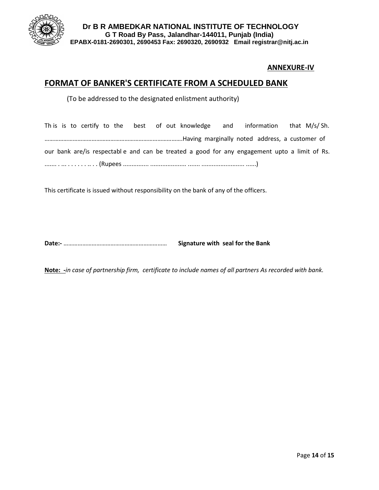

#### **ANNEXURE-IV**

# **FORMAT OF BANKER'S CERTIFICATE FROM A SCHEDULED BANK**

(To be addressed to the designated enlistment authority)

|  |  |  |  | This is to certify to the best of out knowledge and information that $M/s / Sh$ .            |  |  |  |
|--|--|--|--|----------------------------------------------------------------------------------------------|--|--|--|
|  |  |  |  |                                                                                              |  |  |  |
|  |  |  |  | our bank are/is respectable and can be treated a good for any engagement upto a limit of Rs. |  |  |  |
|  |  |  |  |                                                                                              |  |  |  |

This certificate is issued without responsibility on the bank of any of the officers.

**Date:-** ………………………………………………………… **Signature with seal for the Bank**

**Note: -***in case of partnership firm, certificate to include names of all partners As recorded with bank.*